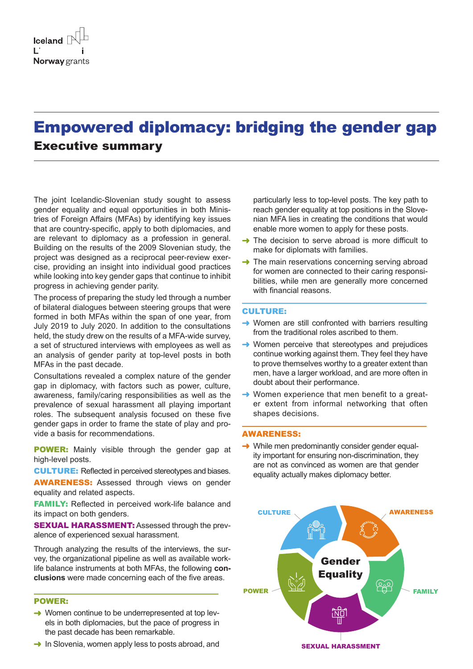# Empowered diplomacy: bridging the gender gap Executive summary

The joint Icelandic-Slovenian study sought to assess gender equality and equal opportunities in both Ministries of Foreign Affairs (MFAs) by identifying key issues that are country-specific, apply to both diplomacies, and are relevant to diplomacy as a profession in general. Building on the results of the 2009 Slovenian study, the project was designed as a reciprocal peer-review exercise, providing an insight into individual good practices while looking into key gender gaps that continue to inhibit progress in achieving gender parity.

The process of preparing the study led through a number of bilateral dialogues between steering groups that were formed in both MFAs within the span of one year, from July 2019 to July 2020. In addition to the consultations held, the study drew on the results of a MFA-wide survey, a set of structured interviews with employees as well as an analysis of gender parity at top-level posts in both MFAs in the past decade.

Consultations revealed a complex nature of the gender gap in diplomacy, with factors such as power, culture, awareness, family/caring responsibilities as well as the prevalence of sexual harassment all playing important roles. The subsequent analysis focused on these five gender gaps in order to frame the state of play and provide a basis for recommendations.

**POWER:** Mainly visible through the gender gap at high-level posts.

CULTURE: Reflected in perceived stereotypes and biases.

AWARENESS: Assessed through views on gender equality and related aspects.

**FAMILY:** Reflected in perceived work-life balance and its impact on both genders.

SEXUAL HARASSMENT: Assessed through the prevalence of experienced sexual harassment.

Through analyzing the results of the interviews, the survey, the organizational pipeline as well as available worklife balance instruments at both MFAs, the following **conclusions** were made concerning each of the five areas.

# POWER:

- $\rightarrow$  Women continue to be underrepresented at top levels in both diplomacies, but the pace of progress in the past decade has been remarkable.
- $\rightarrow$  In Slovenia, women apply less to posts abroad, and

particularly less to top-level posts. The key path to reach gender equality at top positions in the Slovenian MFA lies in creating the conditions that would enable more women to apply for these posts.

- $\rightarrow$  The decision to serve abroad is more difficult to make for diplomats with families.
- $\rightarrow$  The main reservations concerning serving abroad for women are connected to their caring responsibilities, while men are generally more concerned with financial reasons.

#### CULTURE:

- $\rightarrow$  Women are still confronted with barriers resulting from the traditional roles ascribed to them.
- $\rightarrow$  Women perceive that stereotypes and prejudices continue working against them. They feel they have to prove themselves worthy to a greater extent than men, have a larger workload, and are more often in doubt about their performance.
- $\rightarrow$  Women experience that men benefit to a greater extent from informal networking that often shapes decisions.

#### AWARENESS:

 $\rightarrow$  While men predominantly consider gender equality important for ensuring non-discrimination, they are not as convinced as women are that gender equality actually makes diplomacy better.